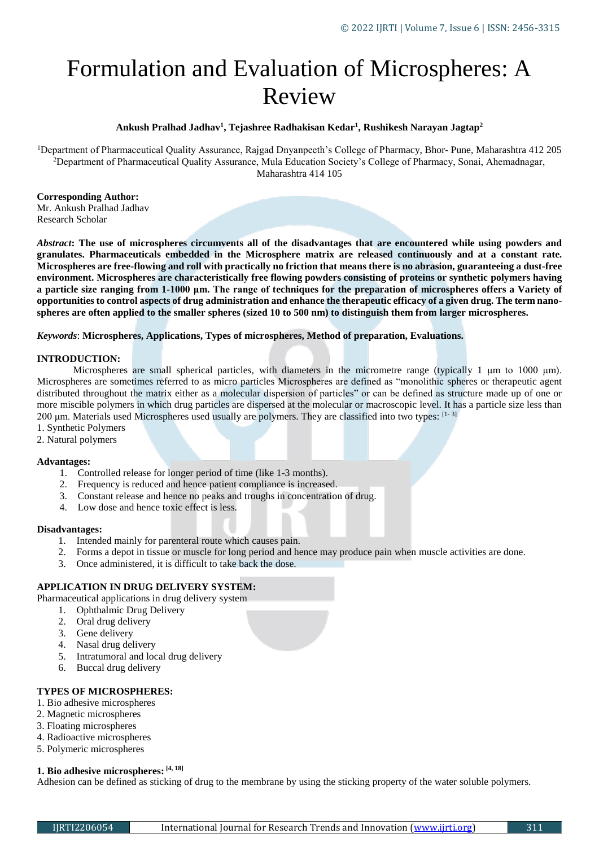# Formulation and Evaluation of Microspheres: A Review

## **Ankush Pralhad Jadhav<sup>1</sup> , Tejashree Radhakisan Kedar<sup>1</sup> , Rushikesh Narayan Jagtap<sup>2</sup>**

<sup>1</sup>Department of Pharmaceutical Quality Assurance, Rajgad Dnyanpeeth's College of Pharmacy, Bhor- Pune, Maharashtra 412 205 <sup>2</sup>Department of Pharmaceutical Quality Assurance, Mula Education Society's College of Pharmacy, Sonai, Ahemadnagar, Maharashtra 414 105

**Corresponding Author:**  Mr. Ankush Pralhad Jadhav Research Scholar

*Abstract***: The use of microspheres circumvents all of the disadvantages that are encountered while using powders and granulates. Pharmaceuticals embedded in the Microsphere matrix are released continuously and at a constant rate. Microspheres are free-flowing and roll with practically no friction that means there is no abrasion, guaranteeing a dust-free environment. Microspheres are characteristically free flowing powders consisting of proteins or synthetic polymers having a particle size ranging from 1-1000 μm. The range of techniques for the preparation of microspheres offers a Variety of opportunities to control aspects of drug administration and enhance the therapeutic efficacy of a given drug. The term nanospheres are often applied to the smaller spheres (sized 10 to 500 nm) to distinguish them from larger microspheres.**

## *Keywords*: **Microspheres, Applications, Types of microspheres, Method of preparation, Evaluations.**

## **INTRODUCTION:**

Microspheres are small spherical particles, with diameters in the micrometre range (typically 1 μm to 1000 μm). Microspheres are sometimes referred to as micro particles Microspheres are defined as "monolithic spheres or therapeutic agent distributed throughout the matrix either as a molecular dispersion of particles" or can be defined as structure made up of one or more miscible polymers in which drug particles are dispersed at the molecular or macroscopic level. It has a particle size less than 200 μm. Materials used Microspheres used usually are polymers. They are classified into two types: [1-3]

- 1. Synthetic Polymers
- 2. Natural polymers

#### **Advantages:**

- 1. Controlled release for longer period of time (like 1-3 months).
- 2. Frequency is reduced and hence patient compliance is increased.
- 3. Constant release and hence no peaks and troughs in concentration of drug.
- 4. Low dose and hence toxic effect is less.

#### **Disadvantages:**

- 1. Intended mainly for parenteral route which causes pain.
- 2. Forms a depot in tissue or muscle for long period and hence may produce pain when muscle activities are done.
- 3. Once administered, it is difficult to take back the dose.

# **APPLICATION IN DRUG DELIVERY SYSTEM:**

Pharmaceutical applications in drug delivery system

- 1. Ophthalmic Drug Delivery
- 2. Oral drug delivery
- 3. Gene delivery
- 4. Nasal drug delivery
- 5. Intratumoral and local drug delivery
- 6. Buccal drug delivery

# **TYPES OF MICROSPHERES:**

- 1. Bio adhesive microspheres
- 2. Magnetic microspheres
- 3. Floating microspheres
- 4. Radioactive microspheres
- 5. Polymeric microspheres

#### **1. Bio adhesive microspheres: [4, 18]**

Adhesion can be defined as sticking of drug to the membrane by using the sticking property of the water soluble polymers.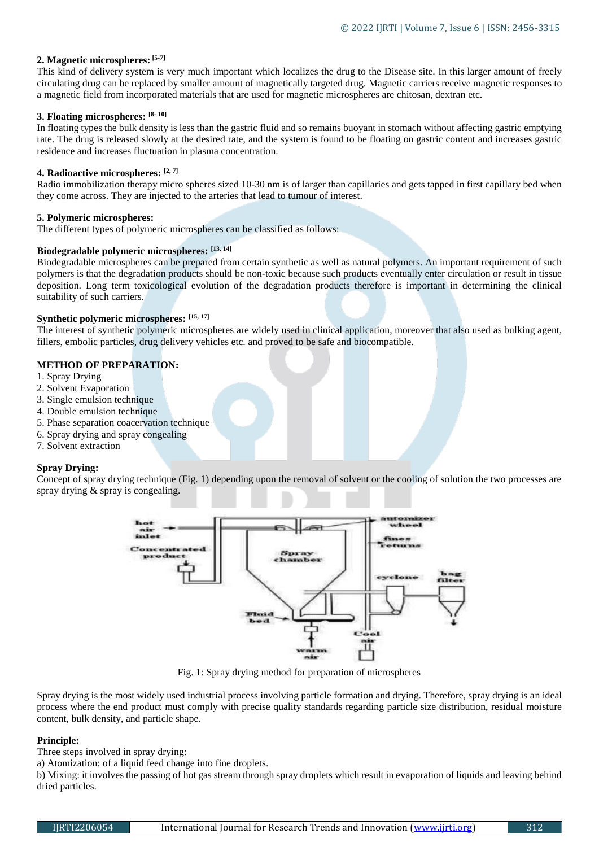# **2. Magnetic microspheres: [5-7]**

This kind of delivery system is very much important which localizes the drug to the Disease site. In this larger amount of freely circulating drug can be replaced by smaller amount of magnetically targeted drug. Magnetic carriers receive magnetic responses to a magnetic field from incorporated materials that are used for magnetic microspheres are chitosan, dextran etc.

# **3. Floating microspheres: [8- 10]**

In floating types the bulk density is less than the gastric fluid and so remains buoyant in stomach without affecting gastric emptying rate. The drug is released slowly at the desired rate, and the system is found to be floating on gastric content and increases gastric residence and increases fluctuation in plasma concentration.

# **4. Radioactive microspheres: [2, 7]**

Radio immobilization therapy micro spheres sized 10-30 nm is of larger than capillaries and gets tapped in first capillary bed when they come across. They are injected to the arteries that lead to tumour of interest.

# **5. Polymeric microspheres:**

The different types of polymeric microspheres can be classified as follows:

## **Biodegradable polymeric microspheres: [13, 14]**

Biodegradable microspheres can be prepared from certain synthetic as well as natural polymers. An important requirement of such polymers is that the degradation products should be non-toxic because such products eventually enter circulation or result in tissue deposition. Long term toxicological evolution of the degradation products therefore is important in determining the clinical suitability of such carriers.

## **Synthetic polymeric microspheres: [15, 17]**

The interest of synthetic polymeric microspheres are widely used in clinical application, moreover that also used as bulking agent, fillers, embolic particles, drug delivery vehicles etc. and proved to be safe and biocompatible.

# **METHOD OF PREPARATION:**

- 1. Spray Drying
- 2. Solvent Evaporation
- 3. Single emulsion technique
- 4. Double emulsion technique
- 5. Phase separation coacervation technique
- 6. Spray drying and spray congealing
- 7. Solvent extraction

# **Spray Drying:**

Concept of spray drying technique (Fig. 1) depending upon the removal of solvent or the cooling of solution the two processes are spray drying & spray is congealing.



Fig. 1: Spray drying method for preparation of microspheres

Spray drying is the most widely used industrial process involving particle formation and drying. Therefore, spray drying is an ideal process where the end product must comply with precise quality standards regarding particle size distribution, residual moisture content, bulk density, and particle shape.

# **Principle:**

Three steps involved in spray drying:

a) Atomization: of a liquid feed change into fine droplets.

b) Mixing: it involves the passing of hot gas stream through spray droplets which result in evaporation of liquids and leaving behind dried particles.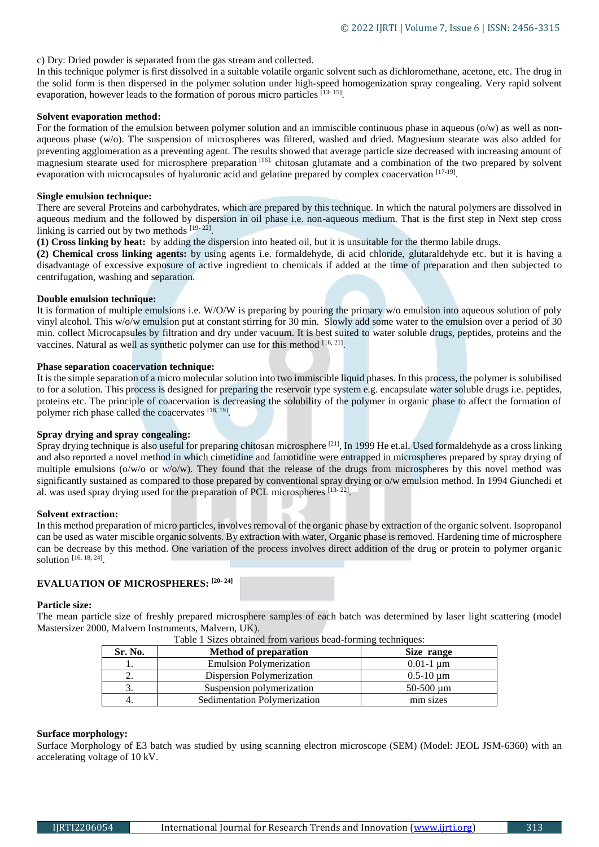c) Dry: Dried powder is separated from the gas stream and collected.

In this technique polymer is first dissolved in a suitable volatile organic solvent such as dichloromethane, acetone, etc. The drug in the solid form is then dispersed in the polymer solution under high-speed homogenization spray congealing. Very rapid solvent evaporation, however leads to the formation of porous micro particles [13-15].

#### **Solvent evaporation method:**

For the formation of the emulsion between polymer solution and an immiscible continuous phase in aqueous (o/w) as well as nonaqueous phase (w/o). The suspension of microspheres was filtered, washed and dried. Magnesium stearate was also added for preventing agglomeration as a preventing agent. The results showed that average particle size decreased with increasing amount of magnesium stearate used for microsphere preparation [16]. chitosan glutamate and a combination of the two prepared by solvent evaporation with microcapsules of hyaluronic acid and gelatine prepared by complex coacervation [17-19].

## **Single emulsion technique:**

There are several Proteins and carbohydrates, which are prepared by this technique. In which the natural polymers are dissolved in aqueous medium and the followed by dispersion in oil phase i.e. non-aqueous medium. That is the first step in Next step cross linking is carried out by two methods [19-22].

**(1) Cross linking by heat:** by adding the dispersion into heated oil, but it is unsuitable for the thermo labile drugs.

**(2) Chemical cross linking agents:** by using agents i.e. formaldehyde, di acid chloride, glutaraldehyde etc. but it is having a disadvantage of excessive exposure of active ingredient to chemicals if added at the time of preparation and then subjected to centrifugation, washing and separation.

## **Double emulsion technique:**

It is formation of multiple emulsions i.e. W/O/W is preparing by pouring the primary w/o emulsion into aqueous solution of poly vinyl alcohol. This w/o/w emulsion put at constant stirring for 30 min. Slowly add some water to the emulsion over a period of 30 min. collect Microcapsules by filtration and dry under vacuum. It is best suited to water soluble drugs, peptides, proteins and the vaccines. Natural as well as synthetic polymer can use for this method [16, 21].

## **Phase separation coacervation technique:**

It is the simple separation of a micro molecular solution into two immiscible liquid phases. In this process, the polymer is solubilised to for a solution. This process is designed for preparing the reservoir type system e.g. encapsulate water soluble drugs i.e. peptides, proteins etc. The principle of coacervation is decreasing the solubility of the polymer in organic phase to affect the formation of polymer rich phase called the coacervates [18, 19].

# **Spray drying and spray congealing:**

Spray drying technique is also useful for preparing chitosan microsphere <sup>[21]</sup>, In 1999 He et.al. Used formaldehyde as a cross linking and also reported a novel method in which cimetidine and famotidine were entrapped in microspheres prepared by spray drying of multiple emulsions ( $o/w/o$  or  $w/o/w$ ). They found that the release of the drugs from microspheres by this novel method was significantly sustained as compared to those prepared by conventional spray drying or o/w emulsion method. In 1994 Giunchedi et al. was used spray drying used for the preparation of PCL microspheres [13-22].

#### **Solvent extraction:**

In this method preparation of micro particles, involves removal of the organic phase by extraction of the organic solvent. Isopropanol can be used as water miscible organic solvents. By extraction with water, Organic phase is removed. Hardening time of microsphere can be decrease by this method. One variation of the process involves direct addition of the drug or protein to polymer organic solution [16, 18, 24].

# **EVALUATION OF MICROSPHERES: [20- 24]**

#### **Particle size:**

The mean particle size of freshly prepared microsphere samples of each batch was determined by laser light scattering (model Mastersizer 2000, Malvern Instruments, Malvern, UK).

| Tuote T Dilles obtained from various beau forming techniques. |                                |                       |
|---------------------------------------------------------------|--------------------------------|-----------------------|
| Sr. No.                                                       | <b>Method of preparation</b>   | Size range            |
|                                                               | <b>Emulsion Polymerization</b> | $0.01 - 1 \text{ um}$ |
| ٠.                                                            | Dispersion Polymerization      | $0.5 - 10 \text{ um}$ |
|                                                               | Suspension polymerization      | $50-500 \mu m$        |

4. Sedimentation Polymerization mm sizes

Table 1 Sizes obtained from various bead-forming techniques:

#### **Surface morphology:**

Surface Morphology of E3 batch was studied by using scanning electron microscope (SEM) (Model: JEOL JSM-6360) with an accelerating voltage of 10 kV.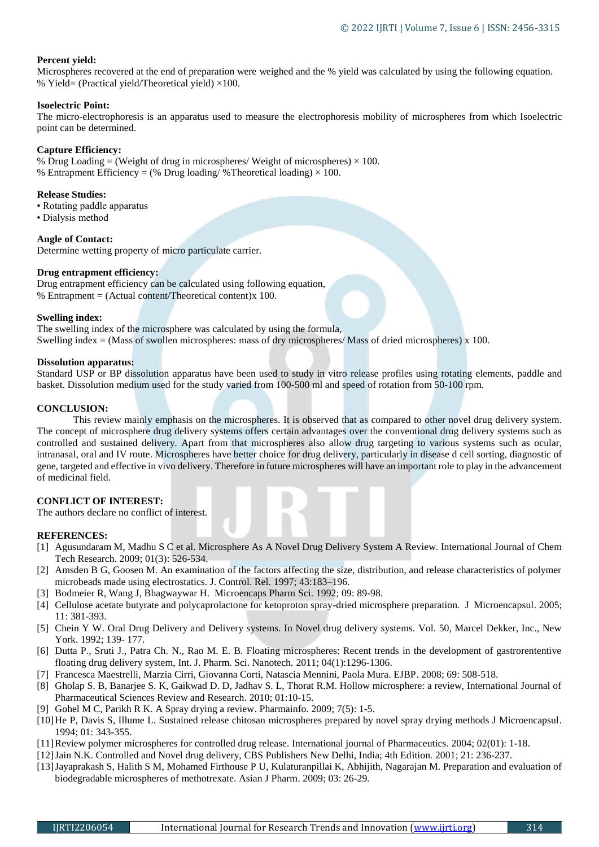# **Percent yield:**

Microspheres recovered at the end of preparation were weighed and the % yield was calculated by using the following equation. % Yield= (Practical yield/Theoretical yield)  $\times$ 100.

## **Isoelectric Point:**

The micro-electrophoresis is an apparatus used to measure the electrophoresis mobility of microspheres from which Isoelectric point can be determined.

## **Capture Efficiency:**

% Drug Loading = (Weight of drug in microspheres/ Weight of microspheres)  $\times$  100. % Entrapment Efficiency = (% Drug loading/ % Theoretical loading)  $\times$  100.

## **Release Studies:**

• Rotating paddle apparatus

• Dialysis method

**Angle of Contact:** Determine wetting property of micro particulate carrier.

# **Drug entrapment efficiency:**

Drug entrapment efficiency can be calculated using following equation, % Entrapment = (Actual content/Theoretical content)x 100.

#### **Swelling index:**

The swelling index of the microsphere was calculated by using the formula, Swelling index = (Mass of swollen microspheres: mass of dry microspheres/ Mass of dried microspheres) x 100.

#### **Dissolution apparatus:**

Standard USP or BP dissolution apparatus have been used to study in vitro release profiles using rotating elements, paddle and basket. Dissolution medium used for the study varied from 100-500 ml and speed of rotation from 50-100 rpm.

## **CONCLUSION:**

This review mainly emphasis on the microspheres. It is observed that as compared to other novel drug delivery system. The concept of microsphere drug delivery systems offers certain advantages over the conventional drug delivery systems such as controlled and sustained delivery. Apart from that microspheres also allow drug targeting to various systems such as ocular, intranasal, oral and IV route. Microspheres have better choice for drug delivery, particularly in disease d cell sorting, diagnostic of gene, targeted and effective in vivo delivery. Therefore in future microspheres will have an important role to play in the advancement of medicinal field.

# **CONFLICT OF INTEREST:**

The authors declare no conflict of interest.

#### **REFERENCES:**

- [1] Agusundaram M, Madhu S C et al. Microsphere As A Novel Drug Delivery System A Review. International Journal of Chem Tech Research. 2009; 01(3): 526-534.
- [2] Amsden B G, Goosen M. An examination of the factors affecting the size, distribution, and release characteristics of polymer microbeads made using electrostatics. J. Control. Rel. 1997; 43:183–196.
- [3] Bodmeier R, Wang J, Bhagwaywar H. Microencaps Pharm Sci. 1992; 09: 89-98.
- [4] Cellulose acetate butyrate and polycaprolactone for ketoproton spray-dried microsphere preparation. J Microencapsul. 2005; 11: 381-393.
- [5] Chein Y W. Oral Drug Delivery and Delivery systems. In Novel drug delivery systems. Vol. 50, Marcel Dekker, Inc., New York. 1992; 139- 177.
- [6] Dutta P., Sruti J., Patra Ch. N., Rao M. E. B. Floating microspheres: Recent trends in the development of gastrorententive floating drug delivery system, Int. J. Pharm. Sci. Nanotech. 2011; 04(1):1296-1306.
- [7] Francesca Maestrelli, Marzia Cirri, Giovanna Corti, Natascia Mennini, Paola Mura. EJBP. 2008; 69: 508-518.
- [8] Gholap S. B, Banarjee S. K, Gaikwad D. D, Jadhav S. L, Thorat R.M. Hollow microsphere: a review, International Journal of Pharmaceutical Sciences Review and Research. 2010; 01:10-15.
- [9] Gohel M C, Parikh R K. A Spray drying a review. Pharmainfo. 2009; 7(5): 1-5.
- [10]He P, Davis S, Illume L. Sustained release chitosan microspheres prepared by novel spray drying methods J Microencapsul. 1994; 01: 343-355.
- [11]Review polymer microspheres for controlled drug release. International journal of Pharmaceutics. 2004; 02(01): 1-18.
- [12]Jain N.K. Controlled and Novel drug delivery, CBS Publishers New Delhi, India; 4th Edition. 2001; 21: 236-237.
- [13]Jayaprakash S, Halith S M, Mohamed Firthouse P U, Kulaturanpillai K, Abhijith, Nagarajan M. Preparation and evaluation of biodegradable microspheres of methotrexate. Asian J Pharm. 2009; 03: 26-29.